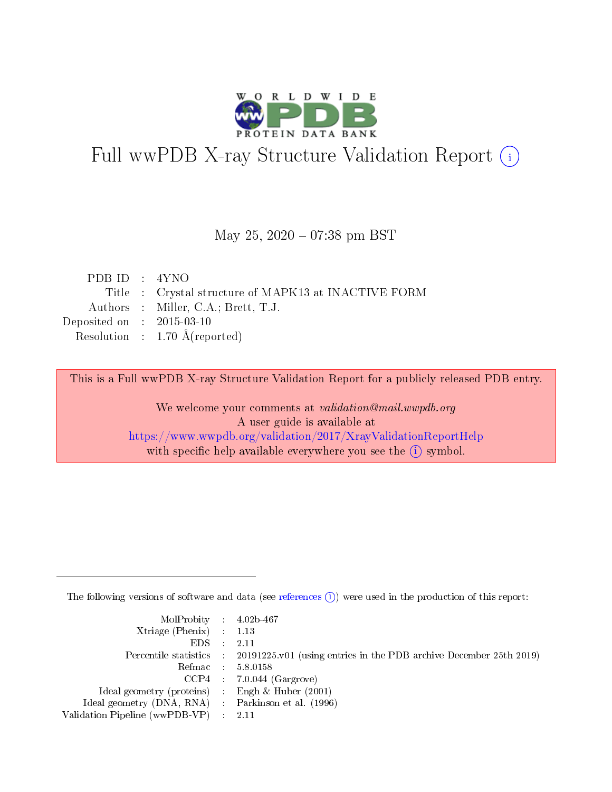

# Full wwPDB X-ray Structure Validation Report (i)

#### May 25,  $2020 - 07:38$  pm BST

| PDB ID : $4YNO$             |                                                      |
|-----------------------------|------------------------------------------------------|
|                             | Title : Crystal structure of MAPK13 at INACTIVE FORM |
|                             | Authors : Miller, C.A.; Brett, T.J.                  |
| Deposited on : $2015-03-10$ |                                                      |
|                             | Resolution : $1.70 \text{ Å}$ (reported)             |
|                             |                                                      |

This is a Full wwPDB X-ray Structure Validation Report for a publicly released PDB entry.

We welcome your comments at validation@mail.wwpdb.org A user guide is available at <https://www.wwpdb.org/validation/2017/XrayValidationReportHelp> with specific help available everywhere you see the  $(i)$  symbol.

The following versions of software and data (see [references](https://www.wwpdb.org/validation/2017/XrayValidationReportHelp#references)  $(i)$ ) were used in the production of this report:

| $MolProbability$ 4.02b-467<br>Xtriage (Phenix) $: 1.13$ |                                                                                                     |
|---------------------------------------------------------|-----------------------------------------------------------------------------------------------------|
| $EDS$ :                                                 | -2.11<br>Percentile statistics : 20191225.v01 (using entries in the PDB archive December 25th 2019) |
|                                                         | Refmac : 5.8.0158                                                                                   |
|                                                         | $CCP4$ : 7.0.044 (Gargrove)                                                                         |
| Ideal geometry (proteins) : Engh $\&$ Huber (2001)      |                                                                                                     |
| Ideal geometry (DNA, RNA) : Parkinson et al. (1996)     |                                                                                                     |
| Validation Pipeline (wwPDB-VP) :                        | -2.11                                                                                               |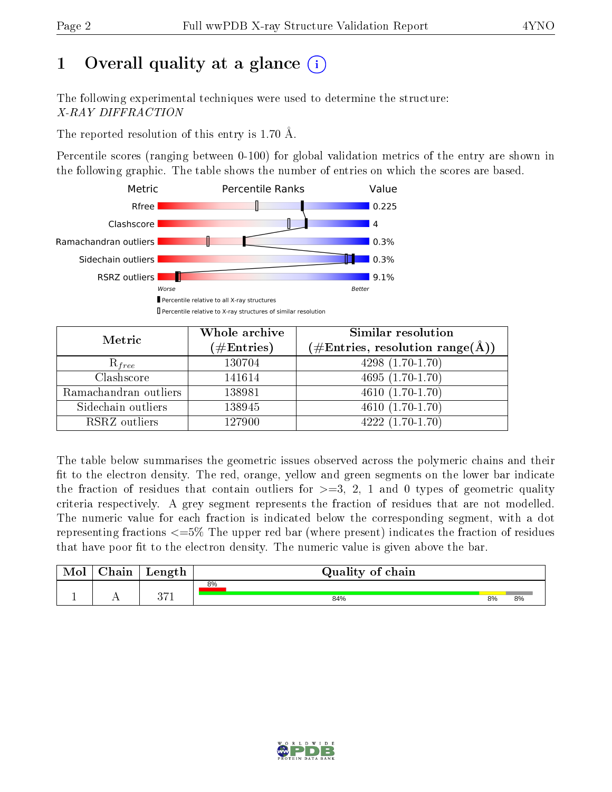# 1 [O](https://www.wwpdb.org/validation/2017/XrayValidationReportHelp#overall_quality)verall quality at a glance  $(i)$

The following experimental techniques were used to determine the structure: X-RAY DIFFRACTION

The reported resolution of this entry is 1.70 Å.

Percentile scores (ranging between 0-100) for global validation metrics of the entry are shown in the following graphic. The table shows the number of entries on which the scores are based.



| Metric                | Whole archive<br>$(\#\mathrm{Entries})$ | Similar resolution<br>$(\#\text{Entries}, \text{resolution range}(\text{\AA}))$ |
|-----------------------|-----------------------------------------|---------------------------------------------------------------------------------|
| $R_{free}$            | 130704                                  | $4298(1.70-1.70)$                                                               |
| Clashscore            | 141614                                  | $4695(1.70-1.70)$                                                               |
| Ramachandran outliers | 138981                                  | $\overline{4610}$ $(1.70-1.70)$                                                 |
| Sidechain outliers    | 138945                                  | $4610(1.70-1.70)$                                                               |
| RSRZ outliers         | 127900                                  | $\overline{4222}$ $(1.70-1.70)$                                                 |

The table below summarises the geometric issues observed across the polymeric chains and their fit to the electron density. The red, orange, yellow and green segments on the lower bar indicate the fraction of residues that contain outliers for  $>=3, 2, 1$  and 0 types of geometric quality criteria respectively. A grey segment represents the fraction of residues that are not modelled. The numeric value for each fraction is indicated below the corresponding segment, with a dot representing fractions  $\epsilon=5\%$  The upper red bar (where present) indicates the fraction of residues that have poor fit to the electron density. The numeric value is given above the bar.

| Mol | $\sim$ $\sim$<br>hain | Length         | Quality of chain |    |    |
|-----|-----------------------|----------------|------------------|----|----|
|     |                       |                | 8%               |    |    |
| л.  | . .                   | の 17.1<br>ב וי | 84%              | 8% | 8% |

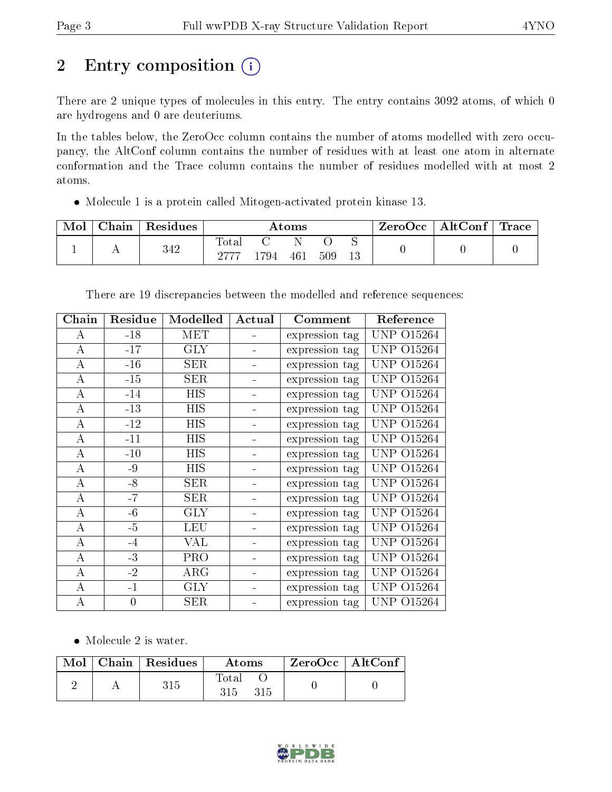# 2 Entry composition (i)

There are 2 unique types of molecules in this entry. The entry contains 3092 atoms, of which 0 are hydrogens and 0 are deuteriums.

In the tables below, the ZeroOcc column contains the number of atoms modelled with zero occupancy, the AltConf column contains the number of residues with at least one atom in alternate conformation and the Trace column contains the number of residues modelled with at most 2 atoms.

Molecule 1 is a protein called Mitogen-activated protein kinase 13.

| Mol | Chain | Residues | Atoms |      |     |     | ZeroOcc∣ | $\mid$ AltConf $\mid$ Trace $\mid$ |  |  |
|-----|-------|----------|-------|------|-----|-----|----------|------------------------------------|--|--|
|     |       | 342      | Tota. | -794 | 461 | 509 | ◡<br>13  |                                    |  |  |

| Chain            | Residue        | Modelled   | Actual | Comment        | Reference         |
|------------------|----------------|------------|--------|----------------|-------------------|
| А                | $-18$          | MET        |        | expression tag | UNP 015264        |
| A                | $-17$          | $\rm GLY$  |        | expression tag | UNP<br>O15264     |
| A                | $-16$          | <b>SER</b> |        | expression tag | UNP<br>O15264     |
| $\bf{A}$         | $-15$          | <b>SER</b> |        | expression tag | <b>UNP 015264</b> |
| $\boldsymbol{A}$ | $-14$          | <b>HIS</b> |        | expression tag | <b>UNP 015264</b> |
| A                | $-13$          | HIS        |        | expression tag | <b>UNP 015264</b> |
| A                | $-12$          | <b>HIS</b> |        | expression tag | <b>UNP 015264</b> |
| А                | $-11$          | <b>HIS</b> |        | expression tag | <b>UNP 015264</b> |
| А                | $-10$          | <b>HIS</b> |        | expression tag | <b>UNP 015264</b> |
| А                | $-9$           | HIS        |        | expression tag | UNP.<br>O15264    |
| А                | $-8$           | SER        |        | expression tag | UNP<br>O15264     |
| А                | $-7$           | SER        |        | expression tag | UNP.<br>O15264    |
| А                | $-6$           | $\rm GLY$  |        | expression tag | UNP 015264        |
| $\bf{A}$         | $-5$           | LEU        |        | expression tag | <b>UNP 015264</b> |
| A                | $-4$           | VAL        |        | expression tag | <b>UNP 015264</b> |
| A                | $-3$           | <b>PRO</b> |        | expression tag | <b>UNP 015264</b> |
| А                | $-2$           | ARG        |        | expression tag | UNP<br>O15264     |
| $\bf{A}$         | $-1$           | <b>GLY</b> |        | expression tag | <b>UNP 015264</b> |
| А                | $\overline{0}$ | <b>SER</b> |        | expression tag | <b>UNP 015264</b> |

There are 19 discrepancies between the modelled and reference sequences:

• Molecule 2 is water.

|  | $Mol$   Chain   Residues | Atoms                              | $\vert$ ZeroOcc $\vert$ AltConf $\vert$ |  |
|--|--------------------------|------------------------------------|-----------------------------------------|--|
|  | 315                      | $\lceil \text{Data} \rceil$<br>315 |                                         |  |

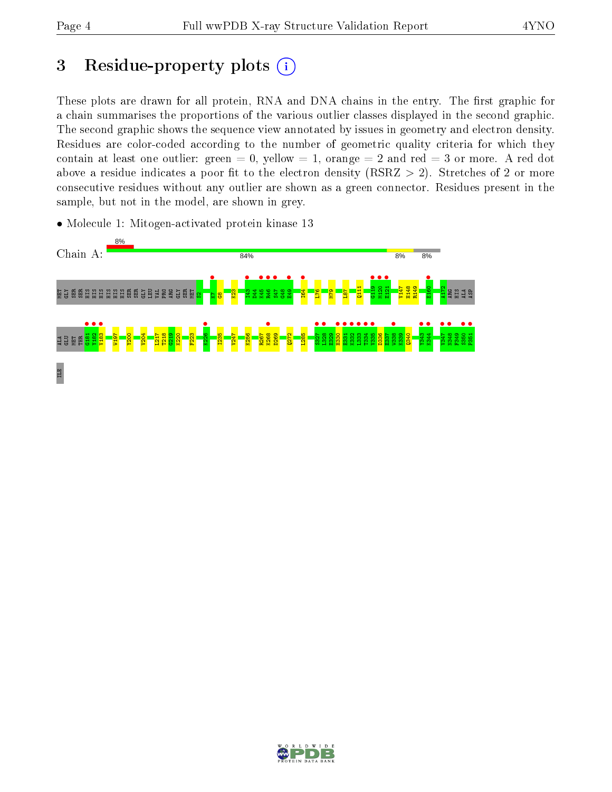# 3 Residue-property plots  $(i)$

These plots are drawn for all protein, RNA and DNA chains in the entry. The first graphic for a chain summarises the proportions of the various outlier classes displayed in the second graphic. The second graphic shows the sequence view annotated by issues in geometry and electron density. Residues are color-coded according to the number of geometric quality criteria for which they contain at least one outlier: green  $= 0$ , yellow  $= 1$ , orange  $= 2$  and red  $= 3$  or more. A red dot above a residue indicates a poor fit to the electron density (RSRZ  $> 2$ ). Stretches of 2 or more consecutive residues without any outlier are shown as a green connector. Residues present in the sample, but not in the model, are shown in grey.

• Molecule 1: Mitogen-activated protein kinase 13



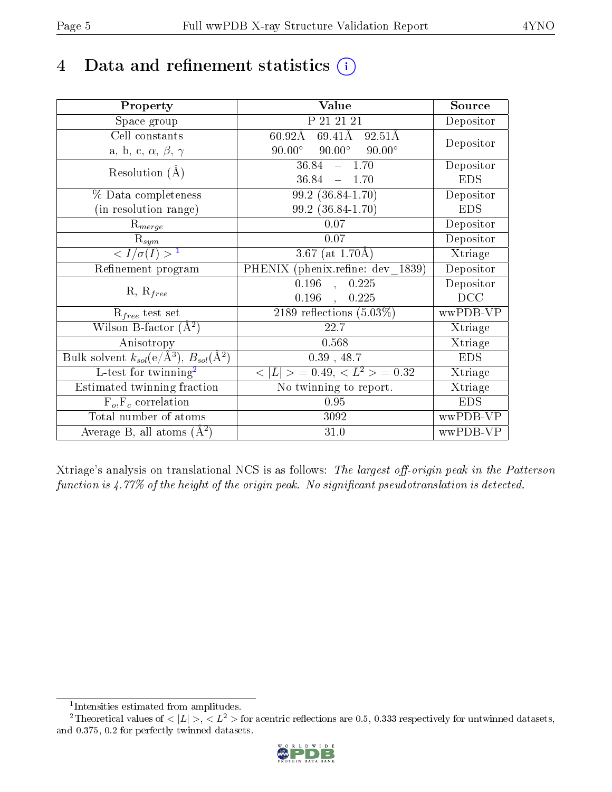# 4 Data and refinement statistics  $(i)$

| Property                                                         | Value                                                    | Source     |
|------------------------------------------------------------------|----------------------------------------------------------|------------|
| Space group                                                      | $\overline{P}$ 21 21 21                                  | Depositor  |
| Cell constants                                                   | $69.41\text{\AA}$<br>$60.92\text{\AA}$<br>92.51Å         | Depositor  |
| a, b, c, $\alpha$ , $\beta$ , $\gamma$                           | $90.00^\circ$<br>$90.00^\circ$<br>$90.00^\circ$          |            |
| Resolution $(A)$                                                 | $36.84 - 1.70$                                           | Depositor  |
|                                                                  | $36.84 - 1.70$                                           | <b>EDS</b> |
| % Data completeness                                              | 99.2 (36.84-1.70)                                        | Depositor  |
| (in resolution range)                                            | 99.2 (36.84-1.70)                                        | <b>EDS</b> |
| $R_{merge}$                                                      | 0.07                                                     | Depositor  |
| $\mathrm{R}_{sym}$                                               | 0.07                                                     | Depositor  |
| $\langle I/\sigma(I) \rangle^{-1}$                               | 3.67 (at $1.70\text{\AA}$ )                              | Xtriage    |
| Refinement program                                               | PHENIX (phenix.refine: dev 1839)                         | Depositor  |
| $R, R_{free}$                                                    | $\overline{0.196}$ ,<br>0.225                            | Depositor  |
|                                                                  | $0.196$ ,<br>0.225                                       | DCC        |
| $R_{free}$ test set                                              | 2189 reflections $(5.03\%)$                              | wwPDB-VP   |
| Wilson B-factor $(A^2)$                                          | 22.7                                                     | Xtriage    |
| Anisotropy                                                       | 0.568                                                    | Xtriage    |
| Bulk solvent $k_{sol}(e/\mathrm{A}^3)$ , $B_{sol}(\mathrm{A}^2)$ | $0.39$ , 48.7                                            | <b>EDS</b> |
| L-test for twinning <sup>2</sup>                                 | $\langle  L  \rangle = 0.49, \langle L^2 \rangle = 0.32$ | Xtriage    |
| Estimated twinning fraction                                      | No twinning to report.                                   | Xtriage    |
| $F_o, F_c$ correlation                                           | 0.95                                                     | <b>EDS</b> |
| Total number of atoms                                            | 3092                                                     | wwPDB-VP   |
| Average B, all atoms $(A^2)$                                     | 31.0                                                     | wwPDB-VP   |

Xtriage's analysis on translational NCS is as follows: The largest off-origin peak in the Patterson function is  $4.77\%$  of the height of the origin peak. No significant pseudotranslation is detected.

<sup>&</sup>lt;sup>2</sup>Theoretical values of  $\langle |L| \rangle$ ,  $\langle L^2 \rangle$  for acentric reflections are 0.5, 0.333 respectively for untwinned datasets, and 0.375, 0.2 for perfectly twinned datasets.



<span id="page-4-1"></span><span id="page-4-0"></span><sup>1</sup> Intensities estimated from amplitudes.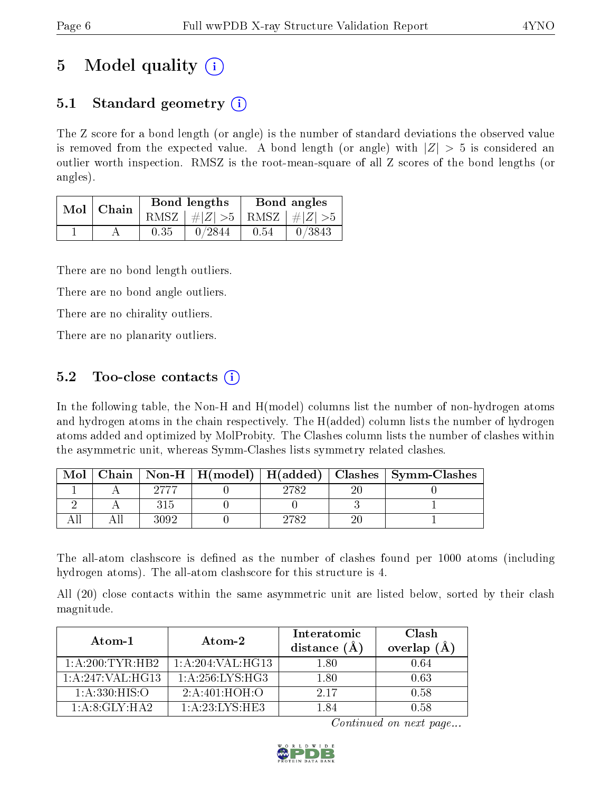# 5 Model quality  $(i)$

## 5.1 Standard geometry  $(i)$

The Z score for a bond length (or angle) is the number of standard deviations the observed value is removed from the expected value. A bond length (or angle) with  $|Z| > 5$  is considered an outlier worth inspection. RMSZ is the root-mean-square of all Z scores of the bond lengths (or angles).

|  | Mol   Chain |      | Bond lengths                    | Bond angles |        |
|--|-------------|------|---------------------------------|-------------|--------|
|  |             |      | RMSZ $ #Z  > 5$ RMSZ $ #Z  > 5$ |             |        |
|  |             | 0.35 | 0/2844                          | 0.54        | 0/3843 |

There are no bond length outliers.

There are no bond angle outliers.

There are no chirality outliers.

There are no planarity outliers.

### 5.2 Too-close contacts  $\overline{()}$

In the following table, the Non-H and H(model) columns list the number of non-hydrogen atoms and hydrogen atoms in the chain respectively. The H(added) column lists the number of hydrogen atoms added and optimized by MolProbity. The Clashes column lists the number of clashes within the asymmetric unit, whereas Symm-Clashes lists symmetry related clashes.

| Mol |      |      | Chain   Non-H   H(model)   H(added)   Clashes   Symm-Clashes |
|-----|------|------|--------------------------------------------------------------|
|     |      | 9789 |                                                              |
|     |      |      |                                                              |
|     | የሀዐን | 9789 |                                                              |

The all-atom clashscore is defined as the number of clashes found per 1000 atoms (including hydrogen atoms). The all-atom clashscore for this structure is 4.

All (20) close contacts within the same asymmetric unit are listed below, sorted by their clash magnitude.

| Atom-1             | Atom-2            | Interatomic<br>distance $(A)$ | Clash<br>overlap $(A)$ |
|--------------------|-------------------|-------------------------------|------------------------|
| 1: A:200:TYR:HB2   | 1: A:204:VAL:HG13 | 1.80                          | 0.64                   |
| 1: A:247: VAL:HG13 | 1: A:256:LYS:HG3  | 1.80                          | 0.63                   |
| 1: A: 330: HIS: O  | 2: A:401:HOH:O    | 2.17                          | 0.58                   |
| 1: A:8: GLY:HA2    | 1: A:23:IXS:HE3   | 184                           | 0.58                   |

Continued on next page...

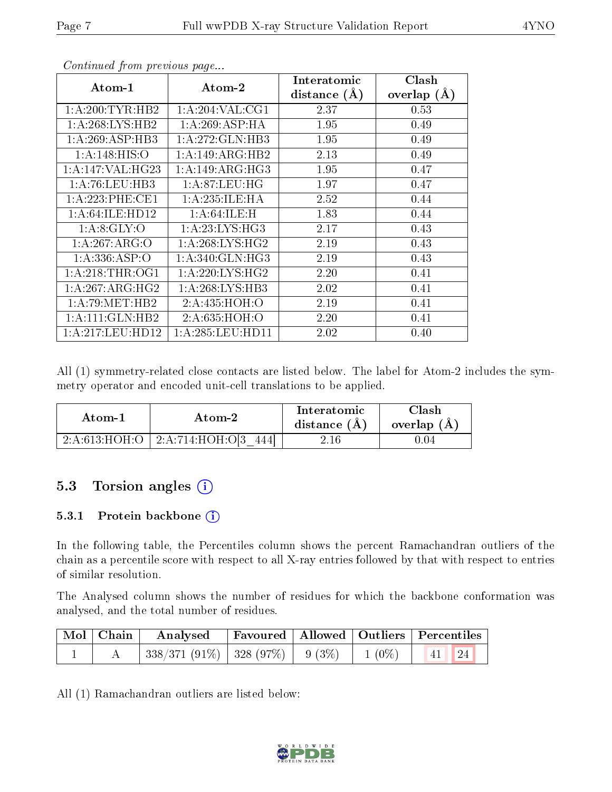| Atom-1             | Atom-2             | Interatomic    | Clash         |
|--------------------|--------------------|----------------|---------------|
|                    |                    | distance $(A)$ | overlap $(A)$ |
| 1: A:200:TYR:HB2   | 1: A:204:VAL:CG1   | 2.37           | 0.53          |
| 1:A:268:LYS:HB2    | 1:A:269:ASP:HA     | 1.95           | 0.49          |
| 1:A:269:ASP:HB3    | 1:A:272:GLN:HB3    | 1.95           | 0.49          |
| 1: A:148: HIS:O    | 1:A:149:ARG:HB2    | 2.13           | 0.49          |
| 1: A:147: VAL:HG23 | 1: A:149: ARG: HG3 | 1.95           | 0.47          |
| 1: A:76:LEU:HB3    | 1: A:87:LEU:HG     | 1.97           | 0.47          |
| 1: A:223: PHE:CE1  | 1:A:235:ILE:HA     | 2.52           | 0.44          |
| 1:A:64:ILE:HD12    | 1: A:64:ILE:H      | 1.83           | 0.44          |
| 1: A:8: GLY:O      | 1: A:23: LYS:HG3   | 2.17           | 0.43          |
| 1:A:267:ARG:O      | 1: A:268:LYS:HG2   | 2.19           | 0.43          |
| 1: A: 336: ASP: O  | 1: A:340: GLN: HG3 | 2.19           | 0.43          |
| 1: A:218:THR:OG1   | 1: A:220: LYS: HG2 | 2.20           | 0.41          |
| 1: A:267: ARG: HG2 | 1: A:268:LYS:HB3   | 2.02           | 0.41          |
| 1: A:79:MET:HB2    | 2: A: 435: HOH:O   | 2.19           | 0.41          |
| 1:A:111:GLN:HB2    | 2:A:635:HOH:O      | 2.20           | 0.41          |
| 1:A:217:LEU:HD12   | 1: A:285:LEU:HD11  | 2.02           | 0.40          |

Continued from previous page...

All (1) symmetry-related close contacts are listed below. The label for Atom-2 includes the symmetry operator and encoded unit-cell translations to be applied.

| Atom-1 | Atom-2                                       | Interatomic<br>distance $(A)$ | Clash<br>overlap $(A)$ |
|--------|----------------------------------------------|-------------------------------|------------------------|
|        | $2:A:613:HOH:O$   $2:A:714:HOH:O[3]$<br>4441 | 2.16                          | U.U4                   |

### 5.3 Torsion angles (i)

#### 5.3.1 Protein backbone (i)

In the following table, the Percentiles column shows the percent Ramachandran outliers of the chain as a percentile score with respect to all X-ray entries followed by that with respect to entries of similar resolution.

The Analysed column shows the number of residues for which the backbone conformation was analysed, and the total number of residues.

| $\mid$ Mol $\mid$ Chain $\mid$ | Analysed                             |  |          | Favoured   Allowed   Outliers   Percentiles |
|--------------------------------|--------------------------------------|--|----------|---------------------------------------------|
|                                | $338/371(91\%)$ 328 (97\%)   9 (3\%) |  | $1(0\%)$ | $\Box$ 24<br>$\vert 41 \vert$               |

All (1) Ramachandran outliers are listed below:

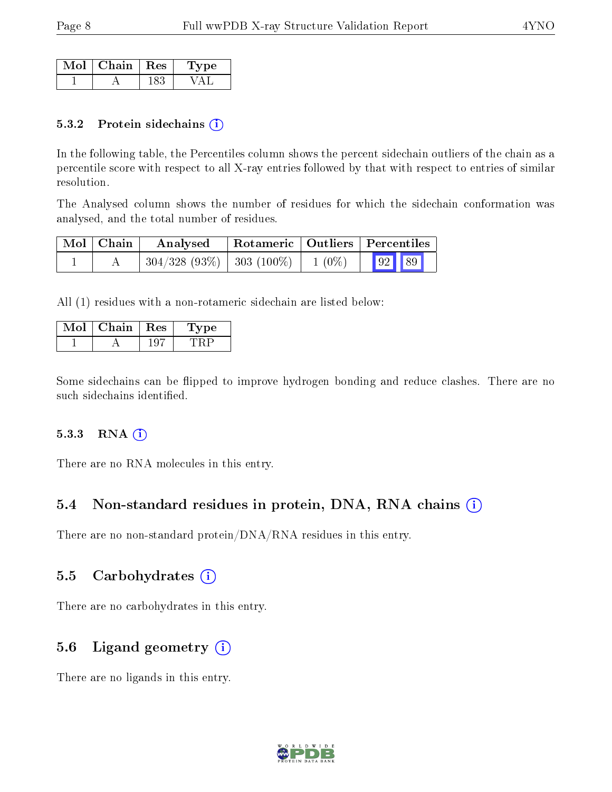| Mol | $\perp$ Chain $\perp$ Res | vne |
|-----|---------------------------|-----|
|     |                           |     |

#### 5.3.2 Protein sidechains  $(i)$

In the following table, the Percentiles column shows the percent sidechain outliers of the chain as a percentile score with respect to all X-ray entries followed by that with respect to entries of similar resolution.

The Analysed column shows the number of residues for which the sidechain conformation was analysed, and the total number of residues.

| $\blacksquare$ Mol $\blacksquare$ Chain | $\mid$ Rotameric $\mid$ Outliers $\mid$ Percentiles<br>Analysed |  |          |       |  |
|-----------------------------------------|-----------------------------------------------------------------|--|----------|-------|--|
|                                         | $304/328$ (93\%)   303 (100\%)                                  |  | $1(0\%)$ | 92 89 |  |

All (1) residues with a non-rotameric sidechain are listed below:

| Chain | $_{\rm Res}$ | рe |
|-------|--------------|----|
|       |              |    |

Some sidechains can be flipped to improve hydrogen bonding and reduce clashes. There are no such sidechains identified.

#### 5.3.3 RNA (i)

There are no RNA molecules in this entry.

#### 5.4 Non-standard residues in protein, DNA, RNA chains  $(i)$

There are no non-standard protein/DNA/RNA residues in this entry.

#### 5.5 Carbohydrates  $(i)$

There are no carbohydrates in this entry.

### 5.6 Ligand geometry (i)

There are no ligands in this entry.

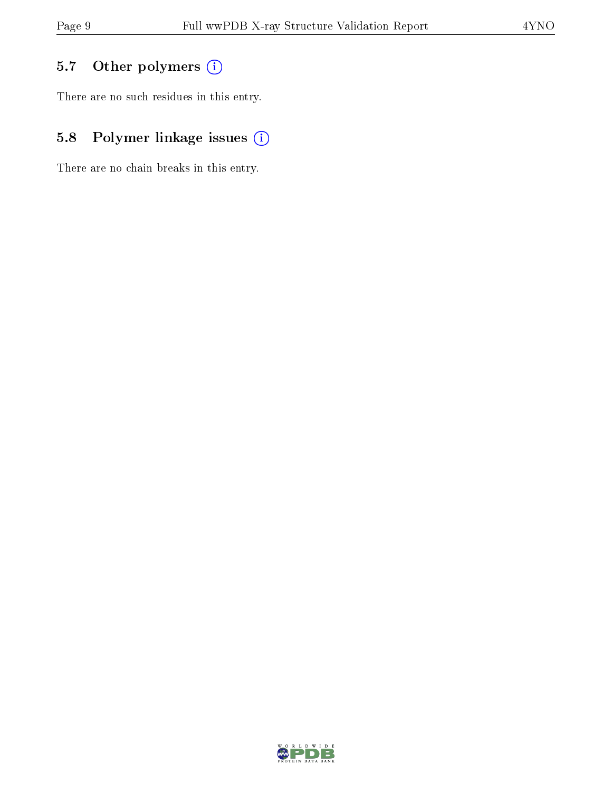## 5.7 [O](https://www.wwpdb.org/validation/2017/XrayValidationReportHelp#nonstandard_residues_and_ligands)ther polymers (i)

There are no such residues in this entry.

## 5.8 Polymer linkage issues (i)

There are no chain breaks in this entry.

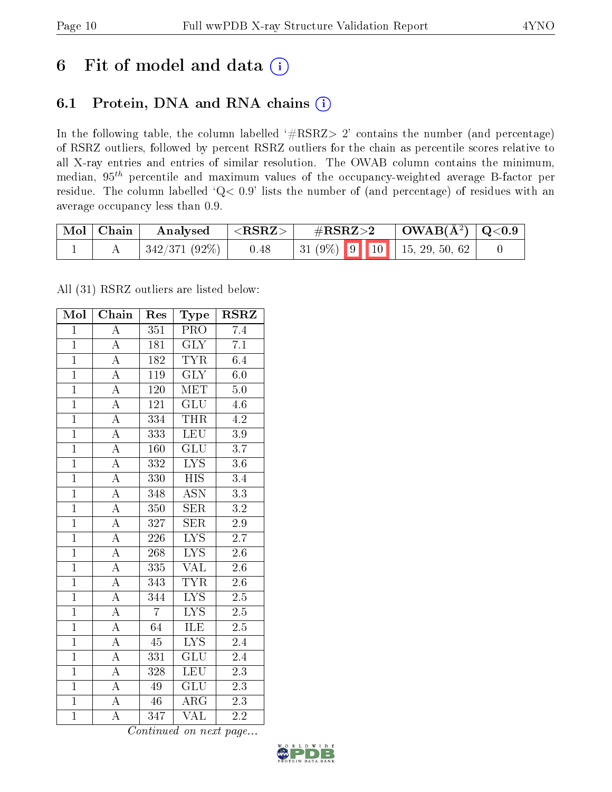# 6 Fit of model and data  $(i)$

## 6.1 Protein, DNA and RNA chains  $(i)$

In the following table, the column labelled  $#RSRZ> 2'$  contains the number (and percentage) of RSRZ outliers, followed by percent RSRZ outliers for the chain as percentile scores relative to all X-ray entries and entries of similar resolution. The OWAB column contains the minimum, median,  $95<sup>th</sup>$  percentile and maximum values of the occupancy-weighted average B-factor per residue. The column labelled ' $Q< 0.9$ ' lists the number of (and percentage) of residues with an average occupancy less than 0.9.

| $\vert$ Mol $\vert$ Chain | Analysed          | $<$ RSRZ $>$ | $\#\text{RSRZ}\text{>2}$            | $\vert$ OWAB( $\rm \AA^2$ ) $\vert$ Q<0.9 |  |
|---------------------------|-------------------|--------------|-------------------------------------|-------------------------------------------|--|
|                           | $ 342/371(92\%) $ | 0.48         | $\vert$ 31 (9%) 9 10 15, 29, 50, 62 |                                           |  |

All (31) RSRZ outliers are listed below:

| Mol            | Chain              | Res              | Type                      | <b>RSRZ</b>      |
|----------------|--------------------|------------------|---------------------------|------------------|
| $\mathbf{1}$   | $\overline{\rm A}$ | 351              | <b>PRO</b>                | 7.4              |
| $\overline{1}$ | $\overline{A}$     | 181              | $\overline{\text{GLY}}$   | $\overline{7.1}$ |
| $\overline{1}$ | $\overline{A}$     | 182              | <b>TYR</b>                | 6.4              |
| $\overline{1}$ | $\overline{\rm A}$ | 119              | $\overline{\text{GLY}}$   | $\overline{6.0}$ |
| $\overline{1}$ | $\overline{A}$     | 120              | $\overline{\text{MET}}$   | $5.\overline{0}$ |
| $\mathbf{1}$   | $\overline{\rm A}$ | 121              | GLU                       | $4.6\,$          |
| $\overline{1}$ | $\overline{A}$     | 334              | <b>THR</b>                | 4.2              |
| $\overline{1}$ | $\overline{\rm A}$ | 333              | <b>LEU</b>                | $\overline{3.9}$ |
| $\overline{1}$ | $\overline{A}$     | 160              | $\overline{{\rm GLU}}$    | $\overline{3.7}$ |
| $\overline{1}$ | $\overline{\rm A}$ | 332              | $\overline{\text{LYS}}$   | $\overline{3.6}$ |
| $\mathbf{1}$   | $\overline{\rm A}$ | 330              | <b>HIS</b>                | $\overline{3.4}$ |
| $\overline{1}$ | $\overline{A}$     | 348              | $\overline{\mathrm{ASN}}$ | $\overline{3.3}$ |
| $\overline{1}$ | $\overline{A}$     | 350              | <b>SER</b>                | 3.2              |
| $\overline{1}$ | $\overline{\rm A}$ | 327              | $\overline{\text{SER}}$   | $\overline{2.9}$ |
| $\overline{1}$ | $\overline{\rm A}$ | 226              | $\overline{\text{LYS}}$   | $\overline{2.7}$ |
| $\mathbf{1}$   | $\overline{\rm A}$ | 268              | $\overline{\text{LYS}}$   | $2.\overline{6}$ |
| $\overline{1}$ | $\overline{\rm A}$ | 335              | VAL                       | $\overline{2.6}$ |
| $\overline{1}$ | $\overline{\rm A}$ | $\overline{3}43$ | <b>TYR</b>                | 2.6              |
| $\overline{1}$ | $\overline{\rm A}$ | 344              | $\overline{\text{LYS}}$   | $\overline{2.5}$ |
| $\overline{1}$ | $\overline{\rm A}$ | $\overline{7}$   | $\overline{\text{LYS}}$   | $\overline{2.5}$ |
| $\overline{1}$ | $\overline{\rm A}$ | 64               | ILE                       | $2.5\,$          |
| $\overline{1}$ | $\overline{\rm A}$ | $\overline{45}$  | $\overline{\text{LYS}}$   | $\overline{2.4}$ |
| $\overline{1}$ | $\boldsymbol{A}$   | 331              | GLU                       | 2.4              |
| $\overline{1}$ | $\overline{\rm A}$ | 328              | $\overline{\text{LEU}}$   | $\overline{2.3}$ |
| $\overline{1}$ | $\overline{\rm A}$ | 49               | GLU                       | $\overline{2.3}$ |
| $\overline{1}$ | $\boldsymbol{A}$   | 46               | $\rm{ARG}$                | 2.3              |
| $\overline{1}$ | $\overline{\rm A}$ | $\overline{3}47$ | $\overline{\text{VAL}}$   | $\overline{2.2}$ |

Continued on next page...